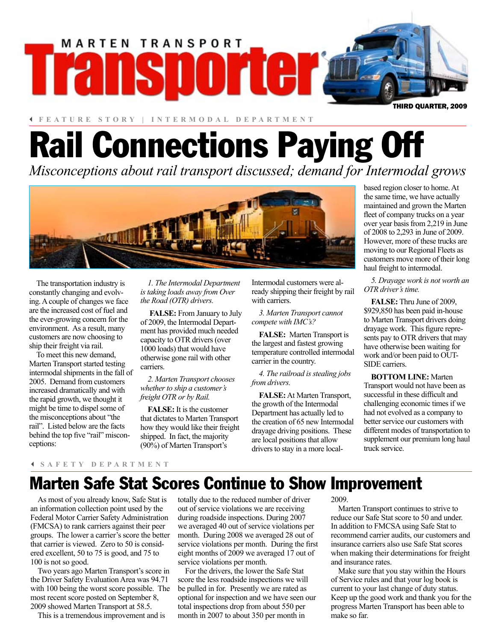

3 **FEATURE STORY | INTERMODAL DEPARTMENT**

# Rail Connections Paying Off

*Misconceptions about rail transport discussed; demand for Intermodal grows*



The transportation industry is constantly changing and evolving. A couple of changes we face are the increased cost of fuel and the ever-growing concern for the environment. As a result, many customers are now choosing to ship their freight via rail.

To meet this new demand, Marten Transport started testing intermodal shipments in the fall of 2005. Demand from customers increased dramatically and with the rapid growth, we thought it might be time to dispel some of the misconceptions about "the rail". Listed below are the facts behind the top five "rail" misconceptions:

*1. The Intermodal Department is taking loads away from Over the Road (OTR) drivers.*

**FALSE:** From January to July of 2009, the Intermodal Department has provided much needed capacity to OTR drivers (over 1000 loads) that would have otherwise gone rail with other carriers.

*2. Marten Transport chooses whether to ship a customer's freight OTR or by Rail.*

**FALSE:** It is the customer that dictates to Marten Transport how they would like their freight shipped. In fact, the majority (90%) of Marten Transport's

Intermodal customers were already shipping their freight by rail with carriers.

*3. Marten Transport cannot compete with IMC's?*

**FALSE:** Marten Transport is the largest and fastest growing temperature controlled intermodal carrier in the country.

*4. The railroad is stealing jobs from drivers.*

**FALSE:** At Marten Transport, the growth of the Intermodal Department has actually led to the creation of 65 new Intermodal drayage driving positions. These are local positions that allow drivers to stay in a more localbased region closer to home. At the same time, we have actually maintained and grown the Marten fleet of company trucks on a year over year basis from 2,219 in June of 2008 to 2,293 in June of 2009. However, more of these trucks are moving to our Regional Fleets as customers move more of their long haul freight to intermodal.

*5. Drayage work is not worth an OTR driver's time.*

**FALSE:** Thru June of 2009, \$929,850 has been paid in-house to Marten Transport drivers doing drayage work. This figure represents pay to OTR drivers that may have otherwise been waiting for work and/or been paid to OUT-SIDE carriers.

**BOTTOM LINE:** Marten Transport would not have been as successful in these difficult and challenging economic times if we had not evolved as a company to better service our customers with different modes of transportation to supplement our premium long haul truck service.

### 3 **SAFETY DEPARTMENT**

### Marten Safe Stat Scores Continue to Show Improvement

As most of you already know, Safe Stat is an information collection point used by the Federal Motor Carrier Safety Administration (FMCSA) to rank carriers against their peer groups. The lower a carrier's score the better that carrier is viewed. Zero to 50 is considered excellent, 50 to 75 is good, and 75 to 100 is not so good.

Two years ago Marten Transport's score in the Driver Safety Evaluation Area was 94.71 with 100 being the worst score possible. The most recent score posted on September 8, 2009 showed Marten Transport at 58.5.

This is a tremendous improvement and is

totally due to the reduced number of driver out of service violations we are receiving during roadside inspections. During 2007 we averaged 40 out of service violations per month. During 2008 we averaged 28 out of service violations per month. During the first eight months of 2009 we averaged 17 out of service violations per month.

For the drivers, the lower the Safe Stat score the less roadside inspections we will be pulled in for. Presently we are rated as optional for inspection and we have seen our total inspections drop from about 550 per month in 2007 to about 350 per month in

2009.

Marten Transport continues to strive to reduce our Safe Stat score to 50 and under. In addition to FMCSA using Safe Stat to recommend carrier audits, our customers and insurance carriers also use Safe Stat scores when making their determinations for freight and insurance rates.

Make sure that you stay within the Hours of Service rules and that your log book is current to your last change of duty status. Keep up the good work and thank you for the progress Marten Transport has been able to make so far.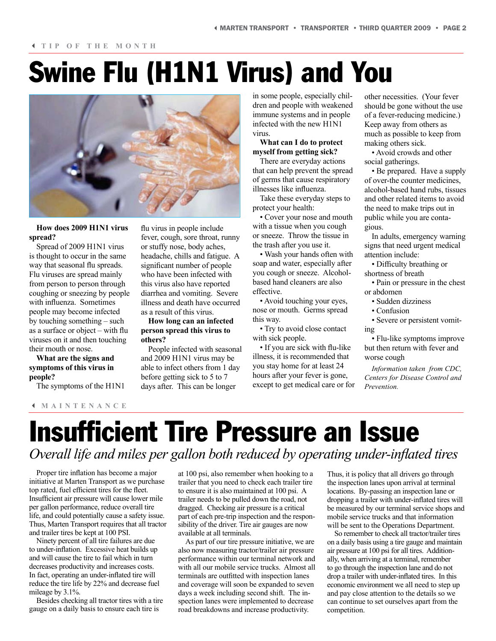#### 3 **TIP OF THE MONTH**

## Swine Flu (H1N1 Virus) and You



### **How does 2009 H1N1 virus spread?**

Spread of 2009 H1N1 virus is thought to occur in the same way that seasonal flu spreads. Flu viruses are spread mainly from person to person through coughing or sneezing by people with influenza. Sometimes people may become infected by touching something – such as a surface or object – with flu viruses on it and then touching their mouth or nose.

**What are the signs and symptoms of this virus in people?**

The symptoms of the H1N1

#### 3 **MAINTENANCE**

flu virus in people include fever, cough, sore throat, runny or stuffy nose, body aches, headache, chills and fatigue. A significant number of people who have been infected with this virus also have reported diarrhea and vomiting. Severe illness and death have occurred as a result of this virus.

### **How long can an infected person spread this virus to others?**

People infected with seasonal and 2009 H1N1 virus may be able to infect others from 1 day before getting sick to 5 to 7 days after. This can be longer

in some people, especially children and people with weakened immune systems and in people infected with the new H1N1 virus.

### **What can I do to protect myself from getting sick?**

There are everyday actions that can help prevent the spread of germs that cause respiratory illnesses like influenza.

Take these everyday steps to protect your health:

• Cover your nose and mouth with a tissue when you cough or sneeze. Throw the tissue in the trash after you use it.

• Wash your hands often with soap and water, especially after you cough or sneeze. Alcoholbased hand cleaners are also effective.

• Avoid touching your eyes, nose or mouth. Germs spread this way.

• Try to avoid close contact with sick people.

• If you are sick with flu-like illness, it is recommended that you stay home for at least 24 hours after your fever is gone, except to get medical care or for

other necessities. (Your fever should be gone without the use of a fever-reducing medicine.) Keep away from others as much as possible to keep from making others sick.

• Avoid crowds and other social gatherings.

• Be prepared. Have a supply of over-the counter medicines, alcohol-based hand rubs, tissues and other related items to avoid the need to make trips out in public while you are contagious.

In adults, emergency warning signs that need urgent medical attention include:

• Difficulty breathing or shortness of breath

• Pain or pressure in the chest or abdomen

• Sudden dizziness

• Confusion

• Severe or persistent vomiting

• Flu-like symptoms improve but then return with fever and worse cough

*Information taken from CDC, Centers for Disease Control and Prevention.*

### Insufficient Tire Pressure an Issue *Overall life and miles per gallon both reduced by operating under-inflated tires*

Proper tire inflation has become a major initiative at Marten Transport as we purchase top rated, fuel efficient tires for the fleet. Insufficient air pressure will cause lower mile per gallon performance, reduce overall tire life, and could potentially cause a safety issue. Thus, Marten Transport requires that all tractor and trailer tires be kept at 100 PSI.

Ninety percent of all tire failures are due to under-inflation. Excessive heat builds up and will cause the tire to fail which in turn decreases productivity and increases costs. In fact, operating an under-inflated tire will reduce the tire life by 22% and decrease fuel mileage by 3.1%.

Besides checking all tractor tires with a tire gauge on a daily basis to ensure each tire is

at 100 psi, also remember when hooking to a trailer that you need to check each trailer tire to ensure it is also maintained at 100 psi. A trailer needs to be pulled down the road, not dragged. Checking air pressure is a critical part of each pre-trip inspection and the responsibility of the driver. Tire air gauges are now available at all terminals.

As part of our tire pressure initiative, we are also now measuring tractor/trailer air pressure performance within our terminal network and with all our mobile service trucks. Almost all terminals are outfitted with inspection lanes and coverage will soon be expanded to seven days a week including second shift. The inspection lanes were implemented to decrease road breakdowns and increase productivity.

Thus, it is policy that all drivers go through the inspection lanes upon arrival at terminal locations. By-passing an inspection lane or dropping a trailer with under-inflated tires will be measured by our terminal service shops and mobile service trucks and that information will be sent to the Operations Department.

So remember to check all tractor/trailer tires on a daily basis using a tire gauge and maintain air pressure at 100 psi for all tires. Additionally, when arriving at a terminal, remember to go through the inspection lane and do not drop a trailer with under-inflated tires. In this economic environment we all need to step up and pay close attention to the details so we can continue to set ourselves apart from the competition.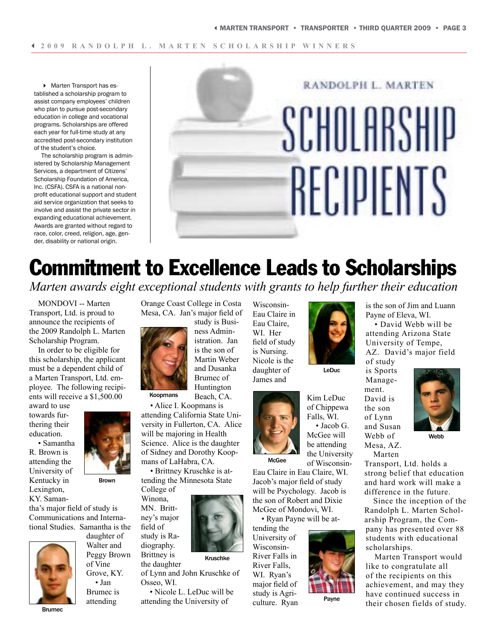4 Marten Transport has established a scholarship program to assist company employees' children who plan to pursue post-secondary education in college and vocational programs. Scholarships are offered each year for full-time study at any accredited post-secondary institution of the student's choice.

The scholarship program is administered by Scholarship Management Services, a department of Citizens' Scholarship Foundation of America, Inc. (CSFA). CSFA is a national nonprofit educational support and student aid service organization that seeks to involve and assist the private sector in expanding educational achievement. Awards are granted without regard to race, color, creed, religion, age, gender, disability or national origin.

# RANDOLPH L. MARTEN SCHOLARSHIP RECIPIENTS

### Commitment to Excellence Leads to Scholarships *Marten awards eight exceptional students with grants to help further their education*

MONDOVI -- Marten Transport, Ltd. is proud to announce the recipients of the 2009 Randolph L. Marten Scholarship Program.

In order to be eligible for this scholarship, the applicant must be a dependent child of a Marten Transport, Ltd. employee. The following recipients will receive a \$1,500.00

award to use towards furthering their education.

• Samantha R. Brown is attending the University of Kentucky in Lexington, KY. Saman-



Brown

tha's major field of study is Communications and International Studies. Samantha is the



daughter of Walter and Peggy Brown of Vine Grove, KY.

• Jan Brumec is

attending

Orange Coast College in Costa Mesa, CA. Jan's major field of

study is Business Admin-Beach, CA. Koopmans

• Alice I. Koopmans is attending California State University in Fullerton, CA. Alice will be majoring in Health Science. Alice is the daughter of Sidney and Dorothy Koopmans of LaHabra, CA.

• Brittney Kruschke is attending the Minnesota State College of

Winona, MN. Britt-

field of

diography. Brittney is

ney's major study is Ra-

Kruschke

the daughter of Lynn and John Kruschke of Osseo, WI.

• Nicole L. LeDuc will be attending the University of

Wisconsin-Eau Claire in Eau Claire, WI. Her field of study is Nursing. Nicole is the daughter of James and



Kim LeDuc of Chippewa Falls, WI. • Jacob G. McGee will be attending the University of Wisconsin-

Payne

Eau Claire in Eau Claire, WI. Jacob's major field of study will be Psychology. Jacob is the son of Robert and Dixie McGee of Mondovi, WI.

• Ryan Payne will be at-

tending the University of Wisconsin-River Falls in River Falls, WI. Ryan's major field of study is Agriculture. Ryan



is the son of Jim and Luann Payne of Eleva, WI.

• David Webb will be attending Arizona State University of Tempe, AZ. David's major field of study

is Sports Management. David is the son of Lynn and Susan Webb of Mesa, AZ. Marten



Webb

Transport, Ltd. holds a strong belief that education and hard work will make a difference in the future.

Since the inception of the Randolph L. Marten Scholarship Program, the Company has presented over 88 students with educational scholarships.

Marten Transport would like to congratulate all of the recipients on this achievement, and may they have continued success in their chosen fields of study.

istration. Jan is the son of Martin Weber and Dusanka Brumec of Huntington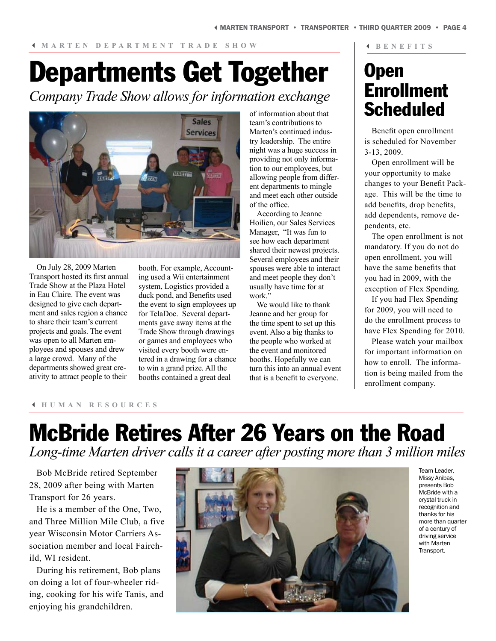# Departments Get Together

*Company Trade Show allows for information exchange*



On July 28, 2009 Marten Transport hosted its first annual Trade Show at the Plaza Hotel in Eau Claire. The event was designed to give each department and sales region a chance to share their team's current projects and goals. The event was open to all Marten employees and spouses and drew a large crowd. Many of the departments showed great creativity to attract people to their

booth. For example, Accounting used a Wii entertainment system, Logistics provided a duck pond, and Benefits used the event to sign employees up for TelaDoc. Several departments gave away items at the Trade Show through drawings or games and employees who visited every booth were entered in a drawing for a chance to win a grand prize. All the booths contained a great deal

of information about that team's contributions to Marten's continued industry leadership. The entire night was a huge success in providing not only information to our employees, but allowing people from different departments to mingle and meet each other outside of the office.

According to Jeanne Hoilien, our Sales Services Manager, "It was fun to see how each department shared their newest projects. Several employees and their spouses were able to interact and meet people they don't usually have time for at work.'

We would like to thank Jeanne and her group for the time spent to set up this event. Also a big thanks to the people who worked at the event and monitored booths. Hopefully we can turn this into an annual event that is a benefit to everyone.

### **Open** Enrollment **Scheduled**

3 **BENEFITS**

Benefit open enrollment is scheduled for November 3-13, 2009.

Open enrollment will be your opportunity to make changes to your Benefit Package. This will be the time to add benefits, drop benefits, add dependents, remove dependents, etc.

The open enrollment is not mandatory. If you do not do open enrollment, you will have the same benefits that you had in 2009, with the exception of Flex Spending.

If you had Flex Spending for 2009, you will need to do the enrollment process to have Flex Spending for 2010.

Please watch your mailbox for important information on how to enroll. The information is being mailed from the enrollment company.

### 3 **HUMAN RESOURCES**

### McBride Retires After 26 Years on the Road *Long-time Marten driver calls it a career after posting more than 3 million miles*

Bob McBride retired September 28, 2009 after being with Marten Transport for 26 years.

He is a member of the One, Two, and Three Million Mile Club, a five year Wisconsin Motor Carriers Association member and local Fairchild, WI resident.

During his retirement, Bob plans on doing a lot of four-wheeler riding, cooking for his wife Tanis, and enjoying his grandchildren.



Team Leader, Missy Anibas, presents Bob McBride with a crystal truck in recognition and thanks for his more than quarter of a century of driving service with Marten Transport.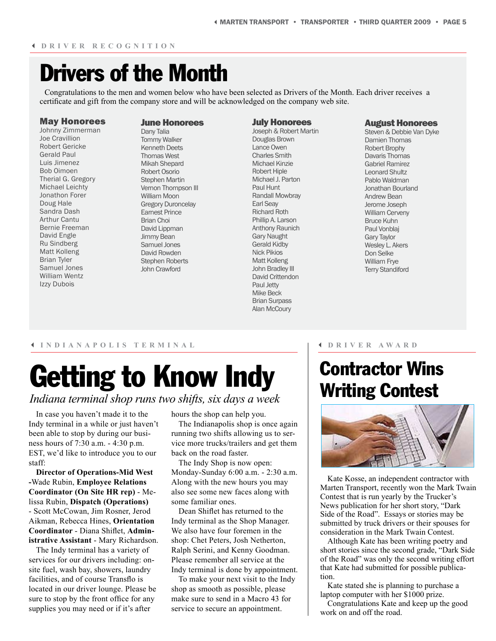### Drivers of the Month

Congratulations to the men and women below who have been selected as Drivers of the Month. Each driver receives a certificate and gift from the company store and will be acknowledged on the company web site.

#### May Honorees

Johnny Zimmerman Joe Cravillion Robert Gericke Gerald Paul Luis Jimenez Bob Oimoen Therial G. Gregory Michael Leichty Jonathon Forer Doug Hale Sandra Dash Arthur Cantu Bernie Freeman David Engle Ru Sindberg Matt Kolleng Brian Tyler Samuel Jones William Wentz Izzy Dubois

#### June Honorees

Dany Talia Tommy Walker Kenneth Deets Thomas West Mikah Shepard Robert Osorio Stephen Martin Vernon Thompson III William Moon Gregory Duroncelay Earnest Prince Brian Choi David Lippman Jimmy Bean Samuel Jones David Rowden Stephen Roberts John Crawford

#### July Honorees Joseph & Robert Martin Douglas Brown Lance Owen Charles Smith Michael Kinzie Robert Hiple Michael J. Parton Paul Hunt Randall Mowbray Earl Seay Richard Roth Phillip A. Larson Anthony Raunich Gary Naught Gerald Kidby Nick Pikios Matt Kolleng John Bradley III David Crittendon Paul Jetty Mike Beck Brian Surpass Alan McCoury

#### August Honorees

Steven & Debbie Van Dyke Damien Thomas Robert Brophy Davaris Thomas Gabriel Ramirez Leonard Shultz Pablo Waldman Jonathan Bourland Andrew Bean Jerome Joseph William Cerveny Bruce Kuhn Paul Vonblaj Gary Taylor Wesley L. Akers Don Selke William Frye Terry Standiford

#### 3 **INDIANAPOLIS TERMINAL**

# Getting to Know Indy

### *Indiana terminal shop runs two shifts, six days a week*

In case you haven't made it to the Indy terminal in a while or just haven't been able to stop by during our business hours of 7:30 a.m. - 4:30 p.m. EST, we'd like to introduce you to our staff:

**Director of Operations-Mid West -**Wade Rubin, **Employee Relations Coordinator (On Site HR rep)** - Melissa Rubin, **Dispatch (Operations)** - Scott McCowan, Jim Rosner, Jerod Aikman, Rebecca Hines, **Orientation Coordinator** - Diana Shiflet, **Administrative Assistant** - Mary Richardson.

The Indy terminal has a variety of services for our drivers including: onsite fuel, wash bay, showers, laundry facilities, and of course Transflo is located in our driver lounge. Please be sure to stop by the front office for any supplies you may need or if it's after

hours the shop can help you. The Indianapolis shop is once again running two shifts allowing us to service more trucks/trailers and get them back on the road faster.

The Indy Shop is now open: Monday-Sunday 6:00 a.m. - 2:30 a.m. Along with the new hours you may also see some new faces along with some familiar ones.

Dean Shiflet has returned to the Indy terminal as the Shop Manager. We also have four foremen in the shop: Chet Peters, Josh Netherton, Ralph Serini, and Kenny Goodman. Please remember all service at the Indy terminal is done by appointment.

To make your next visit to the Indy shop as smooth as possible, please make sure to send in a Macro 43 for service to secure an appointment.

### 3 **DRIVER AWARD**

### Contractor Wins Writing Contest



Kate Kosse, an independent contractor with Marten Transport, recently won the Mark Twain Contest that is run yearly by the Trucker's News publication for her short story, "Dark Side of the Road". Essays or stories may be submitted by truck drivers or their spouses for consideration in the Mark Twain Contest.

Although Kate has been writing poetry and short stories since the second grade, "Dark Side of the Road" was only the second writing effort that Kate had submitted for possible publication.

Kate stated she is planning to purchase a laptop computer with her \$1000 prize.

Congratulations Kate and keep up the good work on and off the road.